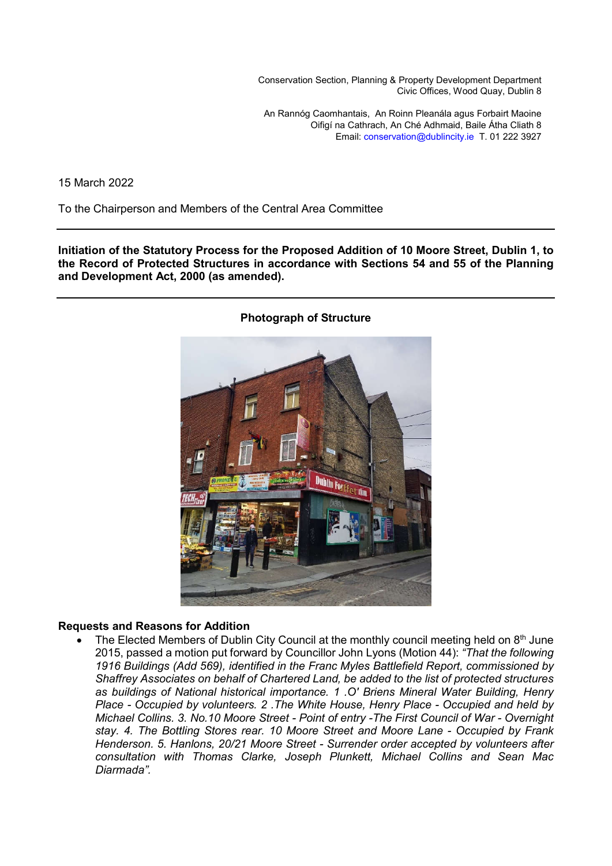Conservation Section, Planning & Property Development Department Civic Offices, Wood Quay, Dublin 8

An Rannóg Caomhantais, An Roinn Pleanála agus Forbairt Maoine Oifigí na Cathrach, An Ché Adhmaid, Baile Átha Cliath 8 Email: conservation@dublincity.ie T. 01 222 3927

15 March 2022

To the Chairperson and Members of the Central Area Committee

**Initiation of the Statutory Process for the Proposed Addition of 10 Moore Street, Dublin 1, to the Record of Protected Structures in accordance with Sections 54 and 55 of the Planning and Development Act, 2000 (as amended).** 



#### **Photograph of Structure**

#### **Requests and Reasons for Addition**

The Elected Members of Dublin City Council at the monthly council meeting held on  $8<sup>th</sup>$  June 2015, passed a motion put forward by Councillor John Lyons (Motion 44): *"That the following 1916 Buildings (Add 569), identified in the Franc Myles Battlefield Report, commissioned by Shaffrey Associates on behalf of Chartered Land, be added to the list of protected structures as buildings of National historical importance. 1 .O' Briens Mineral Water Building, Henry Place - Occupied by volunteers. 2 .The White House, Henry Place - Occupied and held by Michael Collins. 3. No.10 Moore Street - Point of entry -The First Council of War - Overnight stay. 4. The Bottling Stores rear. 10 Moore Street and Moore Lane - Occupied by Frank Henderson. 5. Hanlons, 20/21 Moore Street - Surrender order accepted by volunteers after consultation with Thomas Clarke, Joseph Plunkett, Michael Collins and Sean Mac Diarmada".*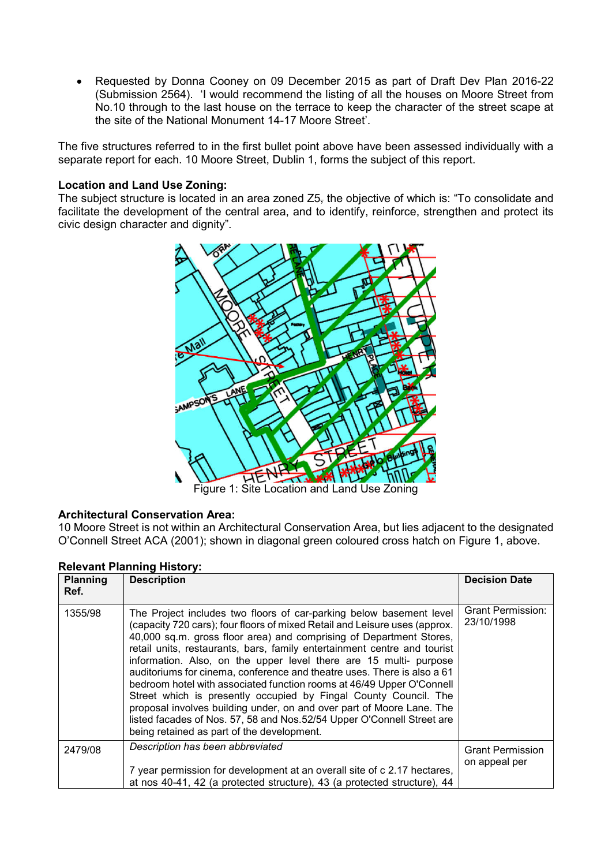Requested by Donna Cooney on 09 December 2015 as part of Draft Dev Plan 2016-22 (Submission 2564). 'I would recommend the listing of all the houses on Moore Street from No.10 through to the last house on the terrace to keep the character of the street scape at the site of the National Monument 14-17 Moore Street'.

The five structures referred to in the first bullet point above have been assessed individually with a separate report for each. 10 Moore Street, Dublin 1, forms the subject of this report.

## **Location and Land Use Zoning:**

The subject structure is located in an area zoned Z5, the objective of which is: "To consolidate and facilitate the development of the central area, and to identify, reinforce, strengthen and protect its civic design character and dignity".



#### **Architectural Conservation Area:**

10 Moore Street is not within an Architectural Conservation Area, but lies adjacent to the designated O'Connell Street ACA (2001); shown in diagonal green coloured cross hatch on Figure 1, above.

| <b>Planning</b><br>Ref. | <b>Description</b>                                                                                                                                                                                                                                                                                                                                                                                                                                                                                                                                                                                                                                                                                                                                                                                  | <b>Decision Date</b>                   |
|-------------------------|-----------------------------------------------------------------------------------------------------------------------------------------------------------------------------------------------------------------------------------------------------------------------------------------------------------------------------------------------------------------------------------------------------------------------------------------------------------------------------------------------------------------------------------------------------------------------------------------------------------------------------------------------------------------------------------------------------------------------------------------------------------------------------------------------------|----------------------------------------|
| 1355/98                 | The Project includes two floors of car-parking below basement level<br>(capacity 720 cars); four floors of mixed Retail and Leisure uses (approx.<br>40,000 sq.m. gross floor area) and comprising of Department Stores,<br>retail units, restaurants, bars, family entertainment centre and tourist<br>information. Also, on the upper level there are 15 multi- purpose<br>auditoriums for cinema, conference and theatre uses. There is also a 61<br>bedroom hotel with associated function rooms at 46/49 Upper O'Connell<br>Street which is presently occupied by Fingal County Council. The<br>proposal involves building under, on and over part of Moore Lane. The<br>listed facades of Nos. 57, 58 and Nos. 52/54 Upper O'Connell Street are<br>being retained as part of the development. | <b>Grant Permission:</b><br>23/10/1998 |
| 2479/08                 | Description has been abbreviated                                                                                                                                                                                                                                                                                                                                                                                                                                                                                                                                                                                                                                                                                                                                                                    | <b>Grant Permission</b>                |
|                         | 7 year permission for development at an overall site of c 2.17 hectares,<br>at nos 40-41, 42 (a protected structure), 43 (a protected structure), 44                                                                                                                                                                                                                                                                                                                                                                                                                                                                                                                                                                                                                                                | on appeal per                          |

## **Relevant Planning History:**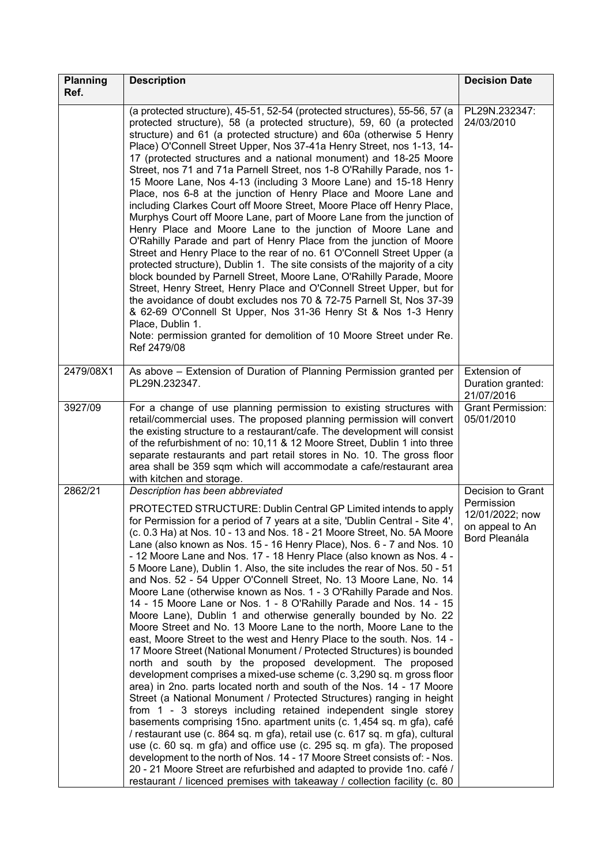| <b>Planning</b> | <b>Description</b>                                                                                                                                                                                                                                                                                                                                                                                                                                                                                                                                                                                                                                                                                                                                                                                                                                                                                                                                                                                                                                                                                                                                                                                                                                                                                                                                                                                                                                                                                                                                                                                                                                                                                                                                                                                                                           | <b>Decision Date</b>                                                                   |
|-----------------|----------------------------------------------------------------------------------------------------------------------------------------------------------------------------------------------------------------------------------------------------------------------------------------------------------------------------------------------------------------------------------------------------------------------------------------------------------------------------------------------------------------------------------------------------------------------------------------------------------------------------------------------------------------------------------------------------------------------------------------------------------------------------------------------------------------------------------------------------------------------------------------------------------------------------------------------------------------------------------------------------------------------------------------------------------------------------------------------------------------------------------------------------------------------------------------------------------------------------------------------------------------------------------------------------------------------------------------------------------------------------------------------------------------------------------------------------------------------------------------------------------------------------------------------------------------------------------------------------------------------------------------------------------------------------------------------------------------------------------------------------------------------------------------------------------------------------------------------|----------------------------------------------------------------------------------------|
| Ref.            |                                                                                                                                                                                                                                                                                                                                                                                                                                                                                                                                                                                                                                                                                                                                                                                                                                                                                                                                                                                                                                                                                                                                                                                                                                                                                                                                                                                                                                                                                                                                                                                                                                                                                                                                                                                                                                              |                                                                                        |
|                 | (a protected structure), 45-51, 52-54 (protected structures), 55-56, 57 (a<br>protected structure), 58 (a protected structure), 59, 60 (a protected<br>structure) and 61 (a protected structure) and 60a (otherwise 5 Henry<br>Place) O'Connell Street Upper, Nos 37-41a Henry Street, nos 1-13, 14-<br>17 (protected structures and a national monument) and 18-25 Moore<br>Street, nos 71 and 71a Parnell Street, nos 1-8 O'Rahilly Parade, nos 1-<br>15 Moore Lane, Nos 4-13 (including 3 Moore Lane) and 15-18 Henry<br>Place, nos 6-8 at the junction of Henry Place and Moore Lane and<br>including Clarkes Court off Moore Street, Moore Place off Henry Place,<br>Murphys Court off Moore Lane, part of Moore Lane from the junction of<br>Henry Place and Moore Lane to the junction of Moore Lane and<br>O'Rahilly Parade and part of Henry Place from the junction of Moore<br>Street and Henry Place to the rear of no. 61 O'Connell Street Upper (a<br>protected structure), Dublin 1. The site consists of the majority of a city<br>block bounded by Parnell Street, Moore Lane, O'Rahilly Parade, Moore<br>Street, Henry Street, Henry Place and O'Connell Street Upper, but for<br>the avoidance of doubt excludes nos 70 & 72-75 Parnell St, Nos 37-39<br>& 62-69 O'Connell St Upper, Nos 31-36 Henry St & Nos 1-3 Henry<br>Place, Dublin 1.<br>Note: permission granted for demolition of 10 Moore Street under Re.<br>Ref 2479/08                                                                                                                                                                                                                                                                                                                                                                                        | PL29N.232347:<br>24/03/2010                                                            |
| 2479/08X1       | As above - Extension of Duration of Planning Permission granted per<br>PL29N.232347.                                                                                                                                                                                                                                                                                                                                                                                                                                                                                                                                                                                                                                                                                                                                                                                                                                                                                                                                                                                                                                                                                                                                                                                                                                                                                                                                                                                                                                                                                                                                                                                                                                                                                                                                                         | Extension of<br>Duration granted:<br>21/07/2016                                        |
| 3927/09         | For a change of use planning permission to existing structures with<br>retail/commercial uses. The proposed planning permission will convert<br>the existing structure to a restaurant/cafe. The development will consist<br>of the refurbishment of no: 10,11 & 12 Moore Street, Dublin 1 into three<br>separate restaurants and part retail stores in No. 10. The gross floor<br>area shall be 359 sqm which will accommodate a cafe/restaurant area<br>with kitchen and storage.                                                                                                                                                                                                                                                                                                                                                                                                                                                                                                                                                                                                                                                                                                                                                                                                                                                                                                                                                                                                                                                                                                                                                                                                                                                                                                                                                          | <b>Grant Permission:</b><br>05/01/2010                                                 |
| 2862/21         | Description has been abbreviated<br>PROTECTED STRUCTURE: Dublin Central GP Limited intends to apply<br>for Permission for a period of 7 years at a site, 'Dublin Central - Site 4',<br>(c. 0.3 Ha) at Nos. 10 - 13 and Nos. 18 - 21 Moore Street, No. 5A Moore<br>Lane (also known as Nos. 15 - 16 Henry Place), Nos. 6 - 7 and Nos. 10<br>- 12 Moore Lane and Nos. 17 - 18 Henry Place (also known as Nos. 4 -<br>5 Moore Lane), Dublin 1. Also, the site includes the rear of Nos. 50 - 51<br>and Nos. 52 - 54 Upper O'Connell Street, No. 13 Moore Lane, No. 14<br>Moore Lane (otherwise known as Nos. 1 - 3 O'Rahilly Parade and Nos.<br>14 - 15 Moore Lane or Nos. 1 - 8 O'Rahilly Parade and Nos. 14 - 15<br>Moore Lane), Dublin 1 and otherwise generally bounded by No. 22<br>Moore Street and No. 13 Moore Lane to the north, Moore Lane to the<br>east, Moore Street to the west and Henry Place to the south. Nos. 14 -<br>17 Moore Street (National Monument / Protected Structures) is bounded<br>north and south by the proposed development. The proposed<br>development comprises a mixed-use scheme (c. 3,290 sq. m gross floor<br>area) in 2no. parts located north and south of the Nos. 14 - 17 Moore<br>Street (a National Monument / Protected Structures) ranging in height<br>from 1 - 3 storeys including retained independent single storey<br>basements comprising 15no. apartment units (c. 1,454 sq. m gfa), café<br>/ restaurant use (c. 864 sq. m gfa), retail use (c. 617 sq. m gfa), cultural<br>use (c. 60 sq. m gfa) and office use (c. 295 sq. m gfa). The proposed<br>development to the north of Nos. 14 - 17 Moore Street consists of: - Nos.<br>20 - 21 Moore Street are refurbished and adapted to provide 1no. café /<br>restaurant / licenced premises with takeaway / collection facility (c. 80 | Decision to Grant<br>Permission<br>12/01/2022; now<br>on appeal to An<br>Bord Pleanála |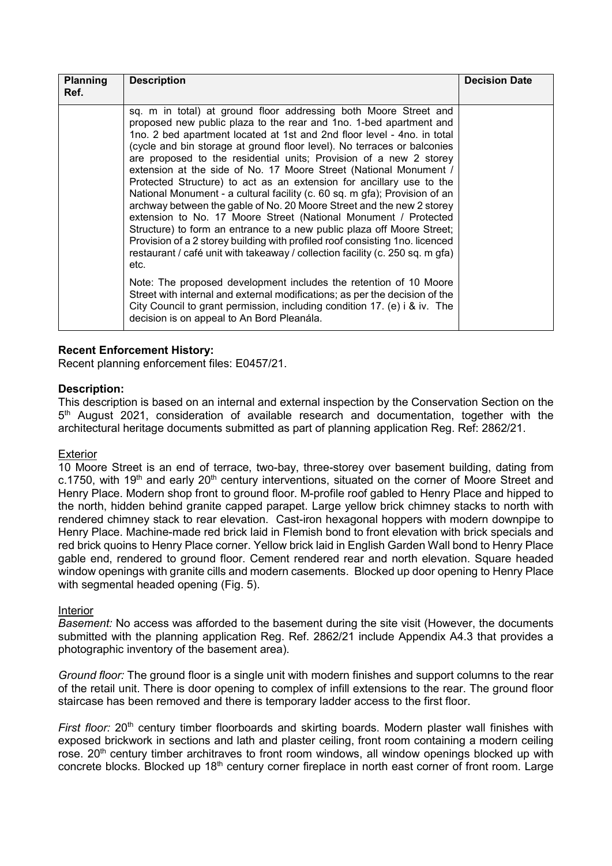| <b>Planning</b><br>Ref. | <b>Description</b>                                                                                                                                                                                                                                                                                                                                                                                                                                                                                                                                                                                                                                                                                                                                                                                                                                                                                                                                                                                                                                                                                                                                                                                                                                                          | <b>Decision Date</b> |
|-------------------------|-----------------------------------------------------------------------------------------------------------------------------------------------------------------------------------------------------------------------------------------------------------------------------------------------------------------------------------------------------------------------------------------------------------------------------------------------------------------------------------------------------------------------------------------------------------------------------------------------------------------------------------------------------------------------------------------------------------------------------------------------------------------------------------------------------------------------------------------------------------------------------------------------------------------------------------------------------------------------------------------------------------------------------------------------------------------------------------------------------------------------------------------------------------------------------------------------------------------------------------------------------------------------------|----------------------|
|                         | sq. m in total) at ground floor addressing both Moore Street and<br>proposed new public plaza to the rear and 1no. 1-bed apartment and<br>1no. 2 bed apartment located at 1st and 2nd floor level - 4no. in total<br>(cycle and bin storage at ground floor level). No terraces or balconies<br>are proposed to the residential units; Provision of a new 2 storey<br>extension at the side of No. 17 Moore Street (National Monument /<br>Protected Structure) to act as an extension for ancillary use to the<br>National Monument - a cultural facility (c. 60 sq. m gfa); Provision of an<br>archway between the gable of No. 20 Moore Street and the new 2 storey<br>extension to No. 17 Moore Street (National Monument / Protected<br>Structure) to form an entrance to a new public plaza off Moore Street;<br>Provision of a 2 storey building with profiled roof consisting 1no. licenced<br>restaurant / café unit with takeaway / collection facility (c. 250 sq. m gfa)<br>etc.<br>Note: The proposed development includes the retention of 10 Moore<br>Street with internal and external modifications; as per the decision of the<br>City Council to grant permission, including condition 17. (e) i & iv. The<br>decision is on appeal to An Bord Pleanála. |                      |

## **Recent Enforcement History:**

Recent planning enforcement files: E0457/21.

## **Description:**

This description is based on an internal and external inspection by the Conservation Section on the 5<sup>th</sup> August 2021, consideration of available research and documentation, together with the architectural heritage documents submitted as part of planning application Reg. Ref: 2862/21.

#### Exterior

10 Moore Street is an end of terrace, two-bay, three-storey over basement building, dating from c.1750, with 19<sup>th</sup> and early 20<sup>th</sup> century interventions, situated on the corner of Moore Street and Henry Place. Modern shop front to ground floor. M-profile roof gabled to Henry Place and hipped to the north, hidden behind granite capped parapet. Large yellow brick chimney stacks to north with rendered chimney stack to rear elevation. Cast-iron hexagonal hoppers with modern downpipe to Henry Place. Machine-made red brick laid in Flemish bond to front elevation with brick specials and red brick quoins to Henry Place corner. Yellow brick laid in English Garden Wall bond to Henry Place gable end, rendered to ground floor. Cement rendered rear and north elevation. Square headed window openings with granite cills and modern casements. Blocked up door opening to Henry Place with segmental headed opening (Fig. 5).

#### **Interior**

*Basement:* No access was afforded to the basement during the site visit (However, the documents submitted with the planning application Reg. Ref. 2862/21 include Appendix A4.3 that provides a photographic inventory of the basement area).

*Ground floor:* The ground floor is a single unit with modern finishes and support columns to the rear of the retail unit. There is door opening to complex of infill extensions to the rear. The ground floor staircase has been removed and there is temporary ladder access to the first floor.

*First floor:* 20<sup>th</sup> century timber floorboards and skirting boards. Modern plaster wall finishes with exposed brickwork in sections and lath and plaster ceiling, front room containing a modern ceiling rose. 20<sup>th</sup> century timber architraves to front room windows, all window openings blocked up with concrete blocks. Blocked up 18<sup>th</sup> century corner fireplace in north east corner of front room. Large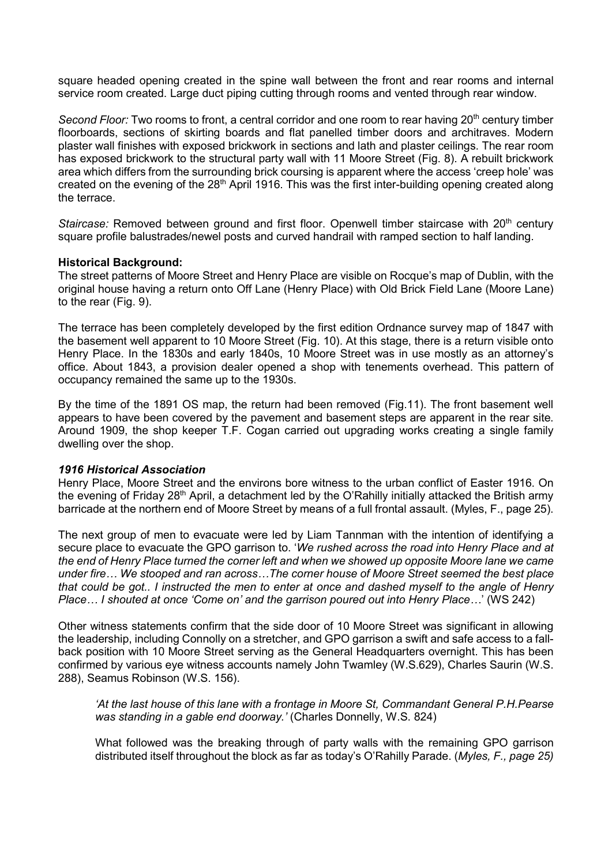square headed opening created in the spine wall between the front and rear rooms and internal service room created. Large duct piping cutting through rooms and vented through rear window.

*Second Floor:* Two rooms to front, a central corridor and one room to rear having 20<sup>th</sup> century timber floorboards, sections of skirting boards and flat panelled timber doors and architraves. Modern plaster wall finishes with exposed brickwork in sections and lath and plaster ceilings. The rear room has exposed brickwork to the structural party wall with 11 Moore Street (Fig. 8). A rebuilt brickwork area which differs from the surrounding brick coursing is apparent where the access 'creep hole' was created on the evening of the 28<sup>th</sup> April 1916. This was the first inter-building opening created along the terrace.

*Staircase:* Removed between ground and first floor. Openwell timber staircase with 20<sup>th</sup> century square profile balustrades/newel posts and curved handrail with ramped section to half landing.

## **Historical Background:**

The street patterns of Moore Street and Henry Place are visible on Rocque's map of Dublin, with the original house having a return onto Off Lane (Henry Place) with Old Brick Field Lane (Moore Lane) to the rear (Fig. 9).

The terrace has been completely developed by the first edition Ordnance survey map of 1847 with the basement well apparent to 10 Moore Street (Fig. 10). At this stage, there is a return visible onto Henry Place. In the 1830s and early 1840s, 10 Moore Street was in use mostly as an attorney's office. About 1843, a provision dealer opened a shop with tenements overhead. This pattern of occupancy remained the same up to the 1930s.

By the time of the 1891 OS map, the return had been removed (Fig.11). The front basement well appears to have been covered by the pavement and basement steps are apparent in the rear site. Around 1909, the shop keeper T.F. Cogan carried out upgrading works creating a single family dwelling over the shop.

## *1916 Historical Association*

Henry Place, Moore Street and the environs bore witness to the urban conflict of Easter 1916. On the evening of Friday 28<sup>th</sup> April, a detachment led by the O'Rahilly initially attacked the British army barricade at the northern end of Moore Street by means of a full frontal assault. (Myles, F., page 25).

The next group of men to evacuate were led by Liam Tannman with the intention of identifying a secure place to evacuate the GPO garrison to. '*We rushed across the road into Henry Place and at the end of Henry Place turned the corner left and when we showed up opposite Moore lane we came under fire… We stooped and ran across…The corner house of Moore Street seemed the best place that could be got.. I instructed the men to enter at once and dashed myself to the angle of Henry Place… I shouted at once 'Come on' and the garrison poured out into Henry Place…*' (WS 242)

Other witness statements confirm that the side door of 10 Moore Street was significant in allowing the leadership, including Connolly on a stretcher, and GPO garrison a swift and safe access to a fallback position with 10 Moore Street serving as the General Headquarters overnight. This has been confirmed by various eye witness accounts namely John Twamley (W.S.629), Charles Saurin (W.S. 288), Seamus Robinson (W.S. 156).

*'At the last house of this lane with a frontage in Moore St, Commandant General P.H.Pearse was standing in a gable end doorway.'* (Charles Donnelly, W.S. 824)

What followed was the breaking through of party walls with the remaining GPO garrison distributed itself throughout the block as far as today's O'Rahilly Parade. (*Myles, F., page 25)*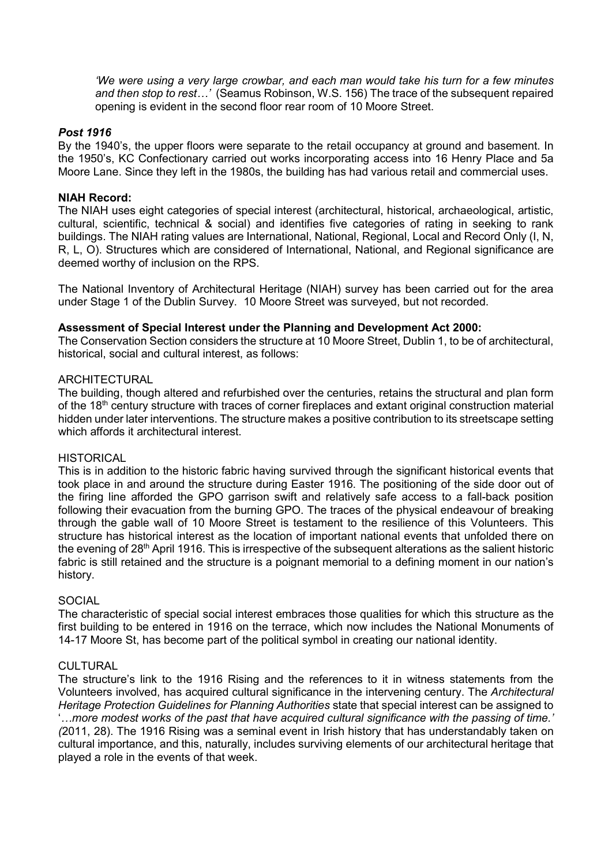*'We were using a very large crowbar, and each man would take his turn for a few minutes and then stop to rest…'* (Seamus Robinson, W.S. 156) The trace of the subsequent repaired opening is evident in the second floor rear room of 10 Moore Street.

### *Post 1916*

By the 1940's, the upper floors were separate to the retail occupancy at ground and basement. In the 1950's, KC Confectionary carried out works incorporating access into 16 Henry Place and 5a Moore Lane. Since they left in the 1980s, the building has had various retail and commercial uses.

## **NIAH Record:**

The NIAH uses eight categories of special interest (architectural, historical, archaeological, artistic, cultural, scientific, technical & social) and identifies five categories of rating in seeking to rank buildings. The NIAH rating values are International, National, Regional, Local and Record Only (I, N, R, L, O). Structures which are considered of International, National, and Regional significance are deemed worthy of inclusion on the RPS.

The National Inventory of Architectural Heritage (NIAH) survey has been carried out for the area under Stage 1 of the Dublin Survey. 10 Moore Street was surveyed, but not recorded.

#### **Assessment of Special Interest under the Planning and Development Act 2000:**

The Conservation Section considers the structure at 10 Moore Street, Dublin 1, to be of architectural, historical, social and cultural interest, as follows:

## ARCHITECTURAL

The building, though altered and refurbished over the centuries, retains the structural and plan form of the 18<sup>th</sup> century structure with traces of corner fireplaces and extant original construction material hidden under later interventions. The structure makes a positive contribution to its streetscape setting which affords it architectural interest.

#### **HISTORICAL**

This is in addition to the historic fabric having survived through the significant historical events that took place in and around the structure during Easter 1916. The positioning of the side door out of the firing line afforded the GPO garrison swift and relatively safe access to a fall-back position following their evacuation from the burning GPO. The traces of the physical endeavour of breaking through the gable wall of 10 Moore Street is testament to the resilience of this Volunteers. This structure has historical interest as the location of important national events that unfolded there on the evening of 28<sup>th</sup> April 1916. This is irrespective of the subsequent alterations as the salient historic fabric is still retained and the structure is a poignant memorial to a defining moment in our nation's history.

## **SOCIAL**

The characteristic of special social interest embraces those qualities for which this structure as the first building to be entered in 1916 on the terrace, which now includes the National Monuments of 14-17 Moore St, has become part of the political symbol in creating our national identity.

#### CULTURAL

The structure's link to the 1916 Rising and the references to it in witness statements from the Volunteers involved, has acquired cultural significance in the intervening century. The *Architectural Heritage Protection Guidelines for Planning Authorities* state that special interest can be assigned to '*…more modest works of the past that have acquired cultural significance with the passing of time.' (*2011, 28). The 1916 Rising was a seminal event in Irish history that has understandably taken on cultural importance, and this, naturally, includes surviving elements of our architectural heritage that played a role in the events of that week.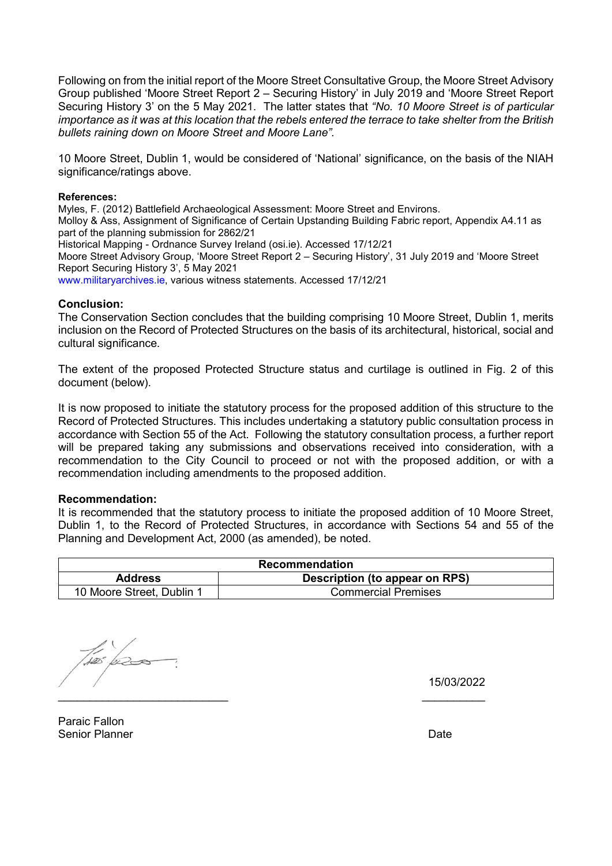Following on from the initial report of the Moore Street Consultative Group, the Moore Street Advisory Group published 'Moore Street Report 2 – Securing History' in July 2019 and 'Moore Street Report Securing History 3' on the 5 May 2021. The latter states that *"No. 10 Moore Street is of particular importance as it was at this location that the rebels entered the terrace to take shelter from the British bullets raining down on Moore Street and Moore Lane".* 

10 Moore Street, Dublin 1, would be considered of 'National' significance, on the basis of the NIAH significance/ratings above.

#### **References:**

Myles, F. (2012) Battlefield Archaeological Assessment: Moore Street and Environs. Molloy & Ass, Assignment of Significance of Certain Upstanding Building Fabric report, Appendix A4.11 as part of the planning submission for 2862/21 Historical Mapping - Ordnance Survey Ireland (osi.ie). Accessed 17/12/21 Moore Street Advisory Group, 'Moore Street Report 2 – Securing History', 31 July 2019 and 'Moore Street Report Securing History 3', 5 May 2021 www.militaryarchives.ie, various witness statements. Accessed 17/12/21

#### **Conclusion:**

The Conservation Section concludes that the building comprising 10 Moore Street, Dublin 1, merits inclusion on the Record of Protected Structures on the basis of its architectural, historical, social and cultural significance.

The extent of the proposed Protected Structure status and curtilage is outlined in Fig. 2 of this document (below).

It is now proposed to initiate the statutory process for the proposed addition of this structure to the Record of Protected Structures. This includes undertaking a statutory public consultation process in accordance with Section 55 of the Act. Following the statutory consultation process, a further report will be prepared taking any submissions and observations received into consideration, with a recommendation to the City Council to proceed or not with the proposed addition, or with a recommendation including amendments to the proposed addition.

#### **Recommendation:**

It is recommended that the statutory process to initiate the proposed addition of 10 Moore Street, Dublin 1, to the Record of Protected Structures, in accordance with Sections 54 and 55 of the Planning and Development Act, 2000 (as amended), be noted.

| <b>Recommendation</b>     |                                |  |  |  |
|---------------------------|--------------------------------|--|--|--|
| <b>Address</b>            | Description (to appear on RPS) |  |  |  |
| 10 Moore Street, Dublin 1 | <b>Commercial Premises</b>     |  |  |  |

\_\_\_\_\_\_\_\_\_\_\_\_\_\_\_\_\_\_\_\_\_\_\_\_\_\_\_ \_\_\_\_\_\_\_\_\_\_

15/03/2022

Paraic Fallon Senior Planner **Date**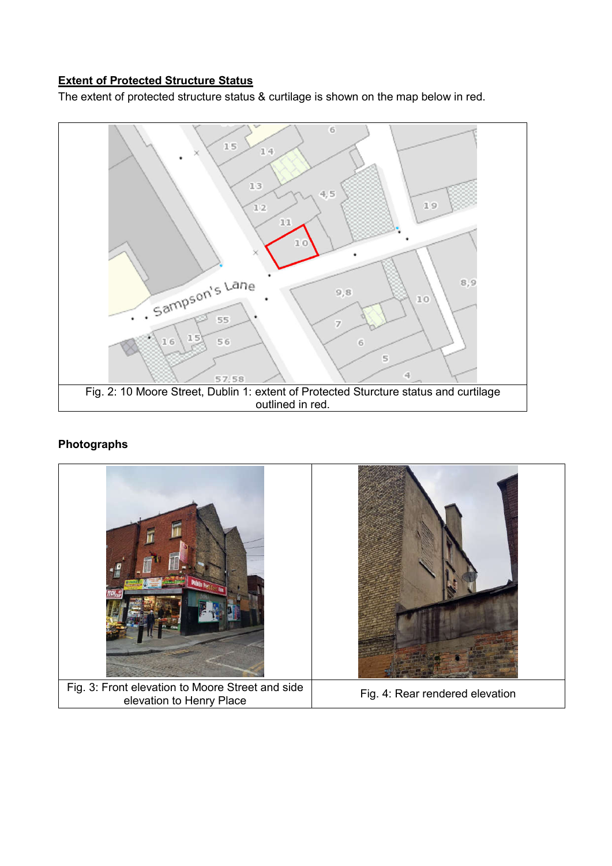## **Extent of Protected Structure Status**

The extent of protected structure status & curtilage is shown on the map below in red.



## **Photographs**

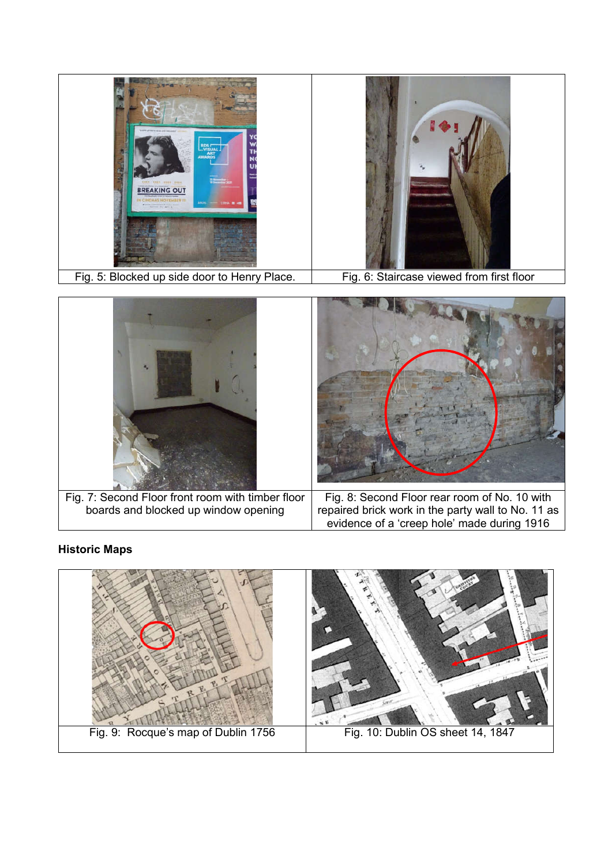

Fig. 5: Blocked up side door to Henry Place. Fig. 6: Staircase viewed from first floor



# **Historic Maps**